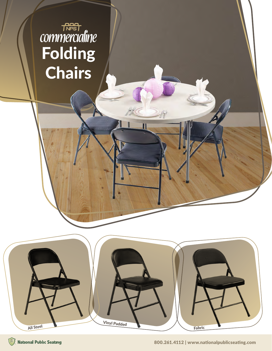